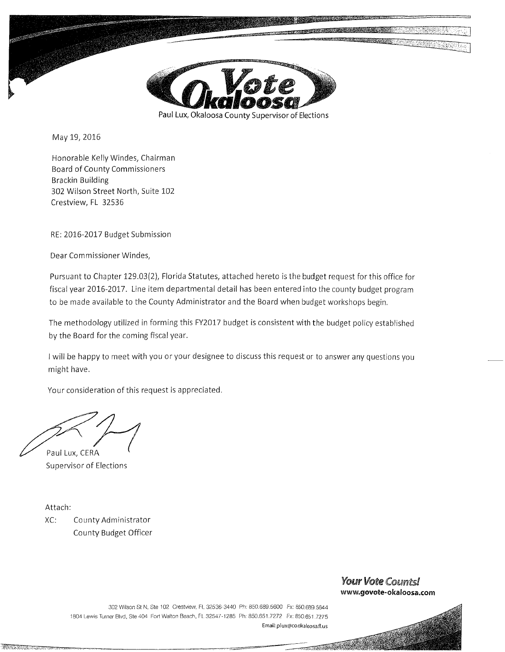

May 19, 2016

Honorable Kelly Windes, Chairman Board of County Commissioners Brackin Building 302 Wilson Street North, Suite 102 Crestview, FL 32536

RE: 2016-2017 Budget Submission

Dear Commissioner Windes,

Pursuant to Chapter 129.03(2), Florida Statutes, attached hereto is the budget request for this office for fiscal year 2016-2017. Line item departmental detail has been entered into the county budget program to be made available to the County Administrator and the Board when budget workshops begin.

The methodology utilized in forming this FY2017 budget is consistent with the budget policy established by the Board for the coming fiscal year.

I will be happy to meet with you or your designee to discuss this request or to answer any questions you might have.

Your consideration of this request is appreciated.

Paul Lux, CERA Supervisor of Elections

Attach:

XC: County Administrator County Budget Officer

## Your Vote Counts! **www.govote-okaloosa.com**

302 Wilson St N, Ste 102 Crestview, FL 32536-3440 Ph: 850.689.5600 Fx: 850689.5644 1804 Lewis Turner Blvd, Ste 404 Fort Walton Beach, FL 32541· 1285 Ph: 850.651. 7272 Fx: 850651 .7275 Email: plux@co.okaloosa.fi.us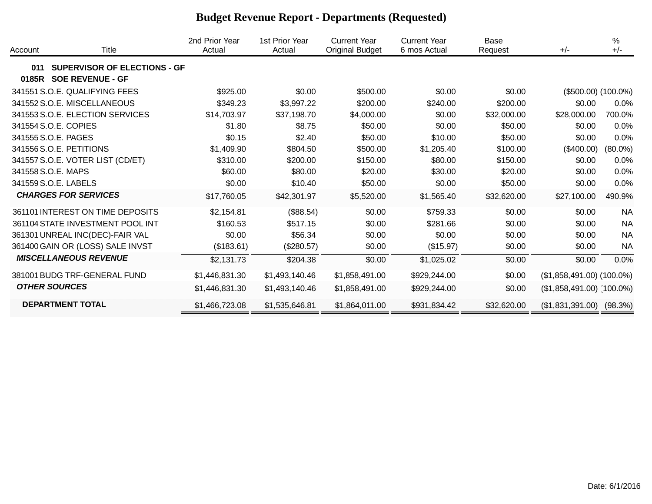| Account | Title                               | 2nd Prior Year<br>Actual | 1st Prior Year<br>Actual | <b>Current Year</b><br><b>Original Budget</b> | <b>Current Year</b><br>6 mos Actual | Base<br>Request | $+/-$                        | $\%$<br>$+/-$ |
|---------|-------------------------------------|--------------------------|--------------------------|-----------------------------------------------|-------------------------------------|-----------------|------------------------------|---------------|
| 011     | <b>SUPERVISOR OF ELECTIONS - GF</b> |                          |                          |                                               |                                     |                 |                              |               |
|         | 0185R SOE REVENUE - GF              |                          |                          |                                               |                                     |                 |                              |               |
|         | 341551 S.O.E. QUALIFYING FEES       | \$925.00                 | \$0.00                   | \$500.00                                      | \$0.00                              | \$0.00          | $($500.00) (100.0\%)$        |               |
|         | 341552 S.O.E. MISCELLANEOUS         | \$349.23                 | \$3,997.22               | \$200.00                                      | \$240.00                            | \$200.00        | \$0.00                       | $0.0\%$       |
|         | 341553 S.O.E. ELECTION SERVICES     | \$14,703.97              | \$37,198.70              | \$4,000.00                                    | \$0.00                              | \$32,000.00     | \$28,000.00                  | 700.0%        |
|         | 341554 S.O.E. COPIES                | \$1.80                   | \$8.75                   | \$50.00                                       | \$0.00                              | \$50.00         | \$0.00                       | 0.0%          |
|         | 341555 S.O.E. PAGES                 | \$0.15                   | \$2.40                   | \$50.00                                       | \$10.00                             | \$50.00         | \$0.00                       | 0.0%          |
|         | 341556 S.O.E. PETITIONS             | \$1,409.90               | \$804.50                 | \$500.00                                      | \$1,205.40                          | \$100.00        | $(\$400.00)$                 | $(80.0\%)$    |
|         | 341557 S.O.E. VOTER LIST (CD/ET)    | \$310.00                 | \$200.00                 | \$150.00                                      | \$80.00                             | \$150.00        | \$0.00                       | 0.0%          |
|         | 341558 S.O.E. MAPS                  | \$60.00                  | \$80.00                  | \$20.00                                       | \$30.00                             | \$20.00         | \$0.00                       | 0.0%          |
|         | 341559 S.O.E. LABELS                | \$0.00                   | \$10.40                  | \$50.00                                       | \$0.00                              | \$50.00         | \$0.00                       | 0.0%          |
|         | <b>CHARGES FOR SERVICES</b>         | \$17,760.05              | \$42,301.97              | \$5,520.00                                    | \$1,565.40                          | \$32,620.00     | \$27,100.00                  | 490.9%        |
|         | 361101 INTEREST ON TIME DEPOSITS    | \$2,154.81               | (\$88.54)                | \$0.00                                        | \$759.33                            | \$0.00          | \$0.00                       | <b>NA</b>     |
|         | 361104 STATE INVESTMENT POOL INT    | \$160.53                 | \$517.15                 | \$0.00                                        | \$281.66                            | \$0.00          | \$0.00                       | <b>NA</b>     |
|         | 361301 UNREAL INC(DEC)-FAIR VAL     | \$0.00                   | \$56.34                  | \$0.00                                        | \$0.00                              | \$0.00          | \$0.00                       | <b>NA</b>     |
|         | 361400 GAIN OR (LOSS) SALE INVST    | (\$183.61)               | (\$280.57)               | \$0.00                                        | (\$15.97)                           | \$0.00          | \$0.00                       | <b>NA</b>     |
|         | <b>MISCELLANEOUS REVENUE</b>        | \$2,131.73               | \$204.38                 | \$0.00                                        | \$1,025.02                          | \$0.00          | \$0.00                       | 0.0%          |
|         | 381001 BUDG TRF-GENERAL FUND        | \$1,446,831.30           | \$1,493,140.46           | \$1,858,491.00                                | \$929,244.00                        | \$0.00          | (\$1,858,491.00) (100.0%)    |               |
|         | <b>OTHER SOURCES</b>                | \$1,446,831.30           | \$1,493,140.46           | \$1,858,491.00                                | \$929,244.00                        | \$0.00          | $($1,858,491.00)$ (100.0%)   |               |
|         | <b>DEPARTMENT TOTAL</b>             | \$1,466,723.08           | \$1,535,646.81           | \$1,864,011.00                                | \$931,834.42                        | \$32,620.00     | $($1,831,391.00)$ $(98.3\%)$ |               |

## **Budget Revenue Report - Departments (Requested)**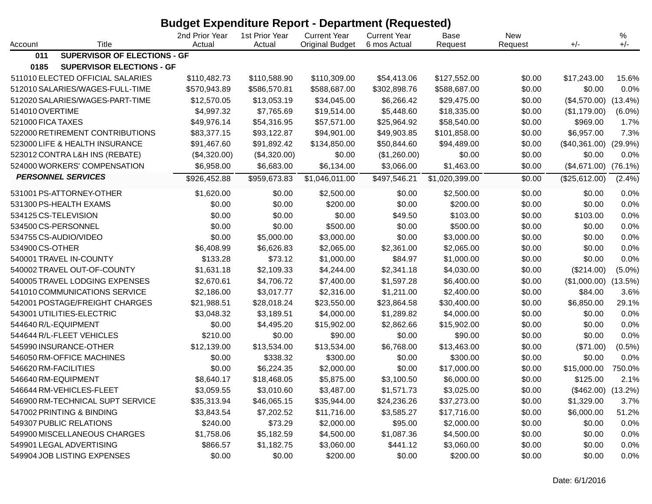|                   |                                  | <b>Budget Expenditure Report - Department (Requested)</b> |                          |                                               |                                     |                 |                |                           |            |
|-------------------|----------------------------------|-----------------------------------------------------------|--------------------------|-----------------------------------------------|-------------------------------------|-----------------|----------------|---------------------------|------------|
| Account           | Title                            | 2nd Prior Year<br>Actual                                  | 1st Prior Year<br>Actual | <b>Current Year</b><br><b>Original Budget</b> | <b>Current Year</b><br>6 mos Actual | Base<br>Request | New<br>Request | $+/-$                     | ℅<br>$+/-$ |
| 011               | SUPERVISOR OF ELECTIONS - GF     |                                                           |                          |                                               |                                     |                 |                |                           |            |
| 0185              | <b>SUPERVISOR ELECTIONS - GF</b> |                                                           |                          |                                               |                                     |                 |                |                           |            |
|                   | 511010 ELECTED OFFICIAL SALARIES | \$110,482.73                                              | \$110,588.90             | \$110,309.00                                  | \$54,413.06                         | \$127,552.00    | \$0.00         | \$17,243.00               | 15.6%      |
|                   | 512010 SALARIES/WAGES-FULL-TIME  | \$570,943.89                                              | \$586,570.81             | \$588,687.00                                  | \$302,898.76                        | \$588,687.00    | \$0.00         | \$0.00                    | 0.0%       |
|                   | 512020 SALARIES/WAGES-PART-TIME  | \$12,570.05                                               | \$13,053.19              | \$34,045.00                                   | \$6,266.42                          | \$29,475.00     | \$0.00         | (\$4,570.00)              | $(13.4\%)$ |
| 514010 OVERTIME   |                                  | \$4,997.32                                                | \$7,765.69               | \$19,514.00                                   | \$5,448.60                          | \$18,335.00     | \$0.00         | (\$1,179.00)              | $(6.0\%)$  |
| 521000 FICA TAXES |                                  | \$49,976.14                                               | \$54,316.95              | \$57,571.00                                   | \$25,964.92                         | \$58,540.00     | \$0.00         | \$969.00                  | 1.7%       |
|                   | 522000 RETIREMENT CONTRIBUTIONS  | \$83,377.15                                               | \$93,122.87              | \$94,901.00                                   | \$49,903.85                         | \$101,858.00    | \$0.00         | \$6,957.00                | 7.3%       |
|                   | 523000 LIFE & HEALTH INSURANCE   | \$91,467.60                                               | \$91,892.42              | \$134,850.00                                  | \$50,844.60                         | \$94,489.00     | \$0.00         | $($40,361.00)$ $(29.9\%)$ |            |
|                   | 523012 CONTRA L&H INS (REBATE)   | (\$4,320.00)                                              | (\$4,320.00)             | \$0.00                                        | (\$1,260.00)                        | \$0.00          | \$0.00         | \$0.00                    | 0.0%       |
|                   | 524000 WORKERS' COMPENSATION     | \$6,958.00                                                | \$6,683.00               | \$6,134.00                                    | \$3,066.00                          | \$1,463.00      | \$0.00         | (\$4,671.00)              | $(76.1\%)$ |
|                   | <b>PERSONNEL SERVICES</b>        | \$926,452.88                                              | \$959,673.83             | \$1,046,011.00                                | \$497,546.21                        | \$1,020,399.00  | \$0.00         | (\$25,612.00)             | $(2.4\%)$  |
|                   | 531001 PS-ATTORNEY-OTHER         | \$1,620.00                                                | \$0.00                   | \$2,500.00                                    | \$0.00                              | \$2,500.00      | \$0.00         | \$0.00                    | 0.0%       |
|                   | 531300 PS-HEALTH EXAMS           | \$0.00                                                    | \$0.00                   | \$200.00                                      | \$0.00                              | \$200.00        | \$0.00         | \$0.00                    | 0.0%       |
|                   | 534125 CS-TELEVISION             | \$0.00                                                    | \$0.00                   | \$0.00                                        | \$49.50                             | \$103.00        | \$0.00         | \$103.00                  | 0.0%       |
|                   | 534500 CS-PERSONNEL              | \$0.00                                                    | \$0.00                   | \$500.00                                      | \$0.00                              | \$500.00        | \$0.00         | \$0.00                    | 0.0%       |
|                   | 534755 CS-AUDIO/VIDEO            | \$0.00                                                    | \$5,000.00               | \$3,000.00                                    | \$0.00                              | \$3,000.00      | \$0.00         | \$0.00                    | 0.0%       |
| 534900 CS-OTHER   |                                  | \$6,408.99                                                | \$6,626.83               | \$2,065.00                                    | \$2,361.00                          | \$2,065.00      | \$0.00         | \$0.00                    | 0.0%       |
|                   | 540001 TRAVEL IN-COUNTY          | \$133.28                                                  | \$73.12                  | \$1,000.00                                    | \$84.97                             | \$1,000.00      | \$0.00         | \$0.00                    | 0.0%       |
|                   | 540002 TRAVEL OUT-OF-COUNTY      | \$1,631.18                                                | \$2,109.33               | \$4,244.00                                    | \$2,341.18                          | \$4,030.00      | \$0.00         | (\$214.00)                | $(5.0\%)$  |
|                   | 540005 TRAVEL LODGING EXPENSES   | \$2,670.61                                                | \$4,706.72               | \$7,400.00                                    | \$1,597.28                          | \$6,400.00      | \$0.00         | (\$1,000.00)              | (13.5%)    |
|                   | 541010 COMMUNICATIONS SERVICE    | \$2,186.00                                                | \$3,017.77               | \$2,316.00                                    | \$1,211.00                          | \$2,400.00      | \$0.00         | \$84.00                   | 3.6%       |
|                   | 542001 POSTAGE/FREIGHT CHARGES   | \$21,988.51                                               | \$28,018.24              | \$23,550.00                                   | \$23,864.58                         | \$30,400.00     | \$0.00         | \$6,850.00                | 29.1%      |
|                   | 543001 UTILITIES-ELECTRIC        | \$3,048.32                                                | \$3,189.51               | \$4,000.00                                    | \$1,289.82                          | \$4,000.00      | \$0.00         | \$0.00                    | 0.0%       |
|                   | 544640 R/L-EQUIPMENT             | \$0.00                                                    | \$4,495.20               | \$15,902.00                                   | \$2,862.66                          | \$15,902.00     | \$0.00         | \$0.00                    | 0.0%       |
|                   | 544644 R/L-FLEET VEHICLES        | \$210.00                                                  | \$0.00                   | \$90.00                                       | \$0.00                              | \$90.00         | \$0.00         | \$0.00                    | 0.0%       |
|                   | 545990 INSURANCE-OTHER           | \$12,139.00                                               | \$13,534.00              | \$13,534.00                                   | \$6,768.00                          | \$13,463.00     | \$0.00         | (\$71.00)                 | $(0.5\%)$  |
|                   | 546050 RM-OFFICE MACHINES        | \$0.00                                                    | \$338.32                 | \$300.00                                      | \$0.00                              | \$300.00        | \$0.00         | \$0.00                    | 0.0%       |
|                   | 546620 RM-FACILITIES             | \$0.00                                                    | \$6,224.35               | \$2,000.00                                    | \$0.00                              | \$17,000.00     | \$0.00         | \$15,000.00               | 750.0%     |
|                   | 546640 RM-EQUIPMENT              | \$8,640.17                                                | \$18,468.05              | \$5,875.00                                    | \$3,100.50                          | \$6,000.00      | \$0.00         | \$125.00                  | 2.1%       |
|                   | 546644 RM-VEHICLES-FLEET         | \$3,059.55                                                | \$3,010.60               | \$3,487.00                                    | \$1,571.73                          | \$3,025.00      | \$0.00         | $($462.00)$ $(13.2%)$     |            |
|                   | 546900 RM-TECHNICAL SUPT SERVICE | \$35,313.94                                               | \$46,065.15              | \$35,944.00                                   | \$24,236.26                         | \$37,273.00     | \$0.00         | \$1,329.00                | 3.7%       |
|                   | 547002 PRINTING & BINDING        | \$3,843.54                                                | \$7,202.52               | \$11,716.00                                   | \$3,585.27                          | \$17,716.00     | \$0.00         | \$6,000.00                | 51.2%      |
|                   | 549307 PUBLIC RELATIONS          | \$240.00                                                  | \$73.29                  | \$2,000.00                                    | \$95.00                             | \$2,000.00      | \$0.00         | \$0.00                    | 0.0%       |
|                   | 549900 MISCELLANEOUS CHARGES     | \$1,758.06                                                | \$5,182.59               | \$4,500.00                                    | \$1,087.36                          | \$4,500.00      | \$0.00         | \$0.00                    | 0.0%       |
|                   | 549901 LEGAL ADVERTISING         | \$866.57                                                  | \$1,182.75               | \$3,060.00                                    | \$441.12                            | \$3,060.00      | \$0.00         | \$0.00                    | $0.0\%$    |
|                   | 549904 JOB LISTING EXPENSES      | \$0.00                                                    | \$0.00                   | \$200.00                                      | \$0.00                              | \$200.00        | \$0.00         | \$0.00                    | $0.0\%$    |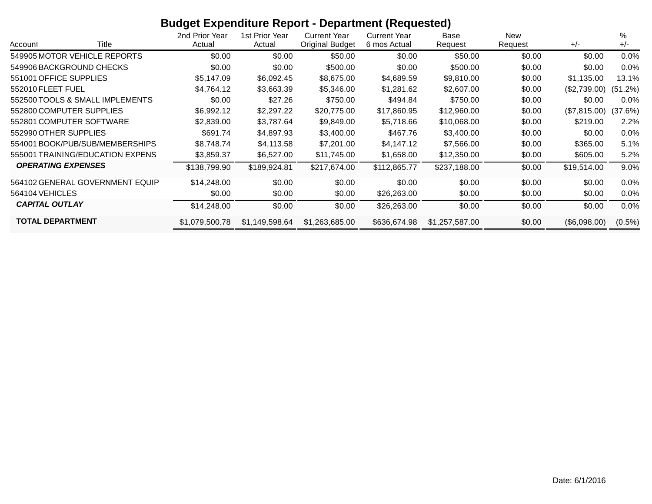## **Budget Expenditure Report - Department (Requested)**

| Title<br>Account                 | 2nd Prior Year<br>Actual | 1st Prior Year<br>Actual | <b>Current Year</b><br><b>Original Budget</b> | <b>Current Year</b><br>6 mos Actual | Base<br>Request | New<br>Request | $+/-$        | %<br>$+/-$ |
|----------------------------------|--------------------------|--------------------------|-----------------------------------------------|-------------------------------------|-----------------|----------------|--------------|------------|
| 549905 MOTOR VEHICLE REPORTS     | \$0.00                   | \$0.00                   | \$50.00                                       | \$0.00                              | \$50.00         | \$0.00         | \$0.00       | $0.0\%$    |
| 549906 BACKGROUND CHECKS         | \$0.00                   | \$0.00                   | \$500.00                                      | \$0.00                              | \$500.00        | \$0.00         | \$0.00       | $0.0\%$    |
| 551001 OFFICE SUPPLIES           | \$5,147.09               | \$6,092.45               | \$8,675.00                                    | \$4,689.59                          | \$9,810.00      | \$0.00         | \$1,135.00   | 13.1%      |
| 552010 FLEET FUEL                | \$4,764.12               | \$3,663.39               | \$5,346.00                                    | \$1,281.62                          | \$2,607.00      | \$0.00         | (\$2,739.00) | (51.2%)    |
| 552500 TOOLS & SMALL IMPLEMENTS  | \$0.00                   | \$27.26                  | \$750.00                                      | \$494.84                            | \$750.00        | \$0.00         | \$0.00       | $0.0\%$    |
| 552800 COMPUTER SUPPLIES         | \$6,992.12               | \$2,297.22               | \$20,775.00                                   | \$17,860.95                         | \$12,960.00     | \$0.00         | (\$7,815.00) | (37.6%)    |
| 552801 COMPUTER SOFTWARE         | \$2,839.00               | \$3,787.64               | \$9,849.00                                    | \$5,718.66                          | \$10,068.00     | \$0.00         | \$219.00     | $2.2\%$    |
| 552990 OTHER SUPPLIES            | \$691.74                 | \$4,897.93               | \$3,400.00                                    | \$467.76                            | \$3,400.00      | \$0.00         | \$0.00       | $0.0\%$    |
| 554001 BOOK/PUB/SUB/MEMBERSHIPS  | \$8,748.74               | \$4,113.58               | \$7,201.00                                    | \$4,147.12                          | \$7,566.00      | \$0.00         | \$365.00     | 5.1%       |
| 555001 TRAINING/EDUCATION EXPENS | \$3,859.37               | \$6,527.00               | \$11,745.00                                   | \$1,658.00                          | \$12,350.00     | \$0.00         | \$605.00     | 5.2%       |
| <b>OPERATING EXPENSES</b>        | \$138,799.90             | \$189,924.81             | \$217,674.00                                  | \$112,865.77                        | \$237,188.00    | \$0.00         | \$19,514.00  | 9.0%       |
| 564102 GENERAL GOVERNMENT EQUIP  | \$14,248.00              | \$0.00                   | \$0.00                                        | \$0.00                              | \$0.00          | \$0.00         | \$0.00       | $0.0\%$    |
| 564104 VEHICLES                  | \$0.00                   | \$0.00                   | \$0.00                                        | \$26,263.00                         | \$0.00          | \$0.00         | \$0.00       | $0.0\%$    |
| <b>CAPITAL OUTLAY</b>            | \$14,248.00              | \$0.00                   | \$0.00                                        | \$26,263.00                         | \$0.00          | \$0.00         | \$0.00       | 0.0%       |
| <b>TOTAL DEPARTMENT</b>          | \$1,079,500.78           | \$1,149,598.64           | \$1,263,685.00                                | \$636,674.98                        | \$1,257,587.00  | \$0.00         | (\$6,098.00) | $(0.5\%)$  |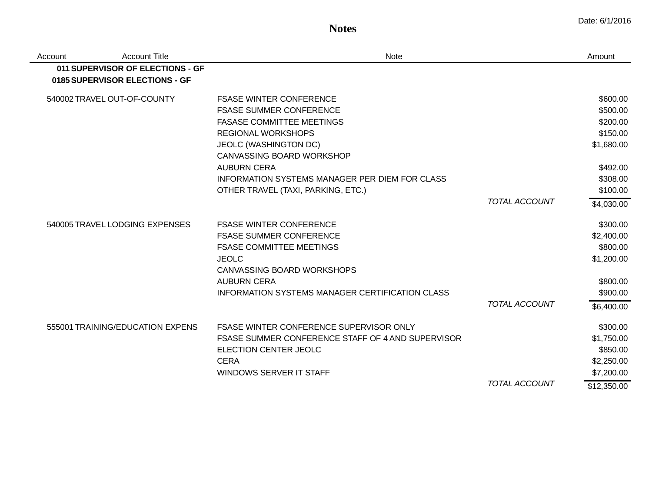**Notes**

| Account | <b>Account Title</b>             | Note                                                   |                      | Amount      |
|---------|----------------------------------|--------------------------------------------------------|----------------------|-------------|
|         | 011 SUPERVISOR OF ELECTIONS - GF |                                                        |                      |             |
|         | 0185 SUPERVISOR ELECTIONS - GF   |                                                        |                      |             |
|         | 540002 TRAVEL OUT-OF-COUNTY      | <b>FSASE WINTER CONFERENCE</b>                         |                      | \$600.00    |
|         |                                  | <b>FSASE SUMMER CONFERENCE</b>                         |                      | \$500.00    |
|         |                                  | <b>FASASE COMMITTEE MEETINGS</b>                       |                      | \$200.00    |
|         |                                  | <b>REGIONAL WORKSHOPS</b>                              |                      | \$150.00    |
|         |                                  | <b>JEOLC (WASHINGTON DC)</b>                           |                      | \$1,680.00  |
|         |                                  | CANVASSING BOARD WORKSHOP                              |                      |             |
|         |                                  | <b>AUBURN CERA</b>                                     |                      | \$492.00    |
|         |                                  | INFORMATION SYSTEMS MANAGER PER DIEM FOR CLASS         |                      | \$308.00    |
|         |                                  | OTHER TRAVEL (TAXI, PARKING, ETC.)                     |                      | \$100.00    |
|         |                                  |                                                        | <b>TOTAL ACCOUNT</b> | \$4,030.00  |
|         | 540005 TRAVEL LODGING EXPENSES   | <b>FSASE WINTER CONFERENCE</b>                         |                      | \$300.00    |
|         |                                  | <b>FSASE SUMMER CONFERENCE</b>                         |                      | \$2,400.00  |
|         |                                  | <b>FSASE COMMITTEE MEETINGS</b>                        |                      | \$800.00    |
|         |                                  | <b>JEOLC</b>                                           |                      | \$1,200.00  |
|         |                                  | <b>CANVASSING BOARD WORKSHOPS</b>                      |                      |             |
|         |                                  | <b>AUBURN CERA</b>                                     |                      | \$800.00    |
|         |                                  | <b>INFORMATION SYSTEMS MANAGER CERTIFICATION CLASS</b> |                      | \$900.00    |
|         |                                  |                                                        | <b>TOTAL ACCOUNT</b> | \$6,400.00  |
|         | 555001 TRAINING/EDUCATION EXPENS | <b>FSASE WINTER CONFERENCE SUPERVISOR ONLY</b>         |                      | \$300.00    |
|         |                                  | FSASE SUMMER CONFERENCE STAFF OF 4 AND SUPERVISOR      |                      | \$1,750.00  |
|         |                                  | ELECTION CENTER JEOLC                                  |                      | \$850.00    |
|         |                                  | <b>CERA</b>                                            |                      | \$2,250.00  |
|         |                                  | <b>WINDOWS SERVER IT STAFF</b>                         |                      | \$7,200.00  |
|         |                                  |                                                        | <b>TOTAL ACCOUNT</b> | \$12,350.00 |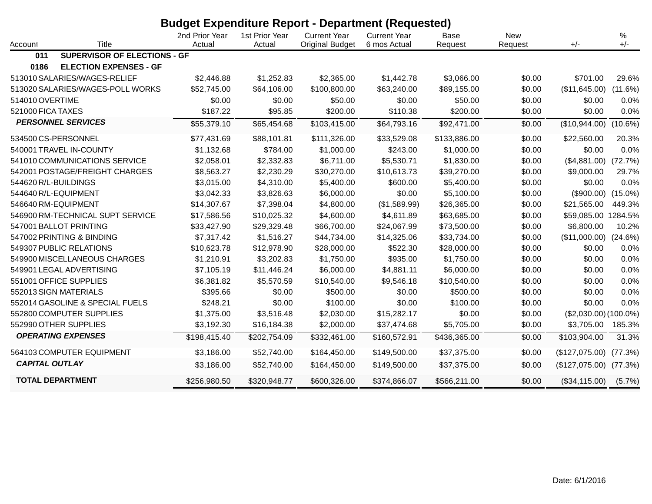|                       | <b>Budget Expenditure Report - Department (Requested)</b> |                          |                          |                                               |                                     |                 |                       |                         |               |
|-----------------------|-----------------------------------------------------------|--------------------------|--------------------------|-----------------------------------------------|-------------------------------------|-----------------|-----------------------|-------------------------|---------------|
| Account               | <b>Title</b>                                              | 2nd Prior Year<br>Actual | 1st Prior Year<br>Actual | <b>Current Year</b><br><b>Original Budget</b> | <b>Current Year</b><br>6 mos Actual | Base<br>Request | <b>New</b><br>Request | $+/-$                   | $\%$<br>$+/-$ |
| 011                   | SUPERVISOR OF ELECTIONS - GF                              |                          |                          |                                               |                                     |                 |                       |                         |               |
| 0186                  | <b>ELECTION EXPENSES - GF</b>                             |                          |                          |                                               |                                     |                 |                       |                         |               |
|                       | 513010 SALARIES/WAGES-RELIEF                              | \$2,446.88               | \$1,252.83               | \$2,365.00                                    | \$1,442.78                          | \$3,066.00      | \$0.00                | \$701.00                | 29.6%         |
|                       | 513020 SALARIES/WAGES-POLL WORKS                          | \$52,745.00              | \$64,106.00              | \$100,800.00                                  | \$63,240.00                         | \$89,155.00     | \$0.00                | (\$11,645.00)           | (11.6%)       |
| 514010 OVERTIME       |                                                           | \$0.00                   | \$0.00                   | \$50.00                                       | \$0.00                              | \$50.00         | \$0.00                | \$0.00                  | 0.0%          |
| 521000 FICA TAXES     |                                                           | \$187.22                 | \$95.85                  | \$200.00                                      | \$110.38                            | \$200.00        | \$0.00                | \$0.00                  | 0.0%          |
|                       | <b>PERSONNEL SERVICES</b>                                 | \$55,379.10              | \$65,454.68              | \$103,415.00                                  | \$64,793.16                         | \$92,471.00     | \$0.00                | (\$10,944.00)           | $(10.6\%)$    |
|                       | 534500 CS-PERSONNEL                                       | \$77,431.69              | \$88,101.81              | \$111,326.00                                  | \$33,529.08                         | \$133,886.00    | \$0.00                | \$22,560.00             | 20.3%         |
|                       | 540001 TRAVEL IN-COUNTY                                   | \$1,132.68               | \$784.00                 | \$1,000.00                                    | \$243.00                            | \$1,000.00      | \$0.00                | \$0.00                  | 0.0%          |
|                       | 541010 COMMUNICATIONS SERVICE                             | \$2,058.01               | \$2,332.83               | \$6,711.00                                    | \$5,530.71                          | \$1,830.00      | \$0.00                | (\$4,881.00)            | (72.7%)       |
|                       | 542001 POSTAGE/FREIGHT CHARGES                            | \$8,563.27               | \$2,230.29               | \$30,270.00                                   | \$10,613.73                         | \$39,270.00     | \$0.00                | \$9,000.00              | 29.7%         |
|                       | 544620 R/L-BUILDINGS                                      | \$3,015.00               | \$4,310.00               | \$5,400.00                                    | \$600.00                            | \$5,400.00      | \$0.00                | \$0.00                  | 0.0%          |
|                       | 544640 R/L-EQUIPMENT                                      | \$3,042.33               | \$3,826.63               | \$6,000.00                                    | \$0.00                              | \$5,100.00      | \$0.00                | (\$900.00)              | $(15.0\%)$    |
|                       | 546640 RM-EQUIPMENT                                       | \$14,307.67              | \$7,398.04               | \$4,800.00                                    | (\$1,589.99)                        | \$26,365.00     | \$0.00                | \$21,565.00             | 449.3%        |
|                       | 546900 RM-TECHNICAL SUPT SERVICE                          | \$17,586.56              | \$10,025.32              | \$4,600.00                                    | \$4,611.89                          | \$63,685.00     | \$0.00                | \$59,085.00 1284.5%     |               |
|                       | 547001 BALLOT PRINTING                                    | \$33,427.90              | \$29,329.48              | \$66,700.00                                   | \$24,067.99                         | \$73,500.00     | \$0.00                | \$6,800.00              | 10.2%         |
|                       | 547002 PRINTING & BINDING                                 | \$7,317.42               | \$1,516.27               | \$44,734.00                                   | \$14,325.06                         | \$33,734.00     | \$0.00                | (\$11,000.00)           | (24.6%)       |
|                       | 549307 PUBLIC RELATIONS                                   | \$10,623.78              | \$12,978.90              | \$28,000.00                                   | \$522.30                            | \$28,000.00     | \$0.00                | \$0.00                  | 0.0%          |
|                       | 549900 MISCELLANEOUS CHARGES                              | \$1,210.91               | \$3,202.83               | \$1,750.00                                    | \$935.00                            | \$1,750.00      | \$0.00                | \$0.00                  | 0.0%          |
|                       | 549901 LEGAL ADVERTISING                                  | \$7,105.19               | \$11,446.24              | \$6,000.00                                    | \$4,881.11                          | \$6,000.00      | \$0.00                | \$0.00                  | 0.0%          |
|                       | 551001 OFFICE SUPPLIES                                    | \$6,381.82               | \$5,570.59               | \$10,540.00                                   | \$9,546.18                          | \$10,540.00     | \$0.00                | \$0.00                  | 0.0%          |
|                       | 552013 SIGN MATERIALS                                     | \$395.66                 | \$0.00                   | \$500.00                                      | \$0.00                              | \$500.00        | \$0.00                | \$0.00                  | 0.0%          |
|                       | 552014 GASOLINE & SPECIAL FUELS                           | \$248.21                 | \$0.00                   | \$100.00                                      | \$0.00                              | \$100.00        | \$0.00                | \$0.00                  | 0.0%          |
|                       | 552800 COMPUTER SUPPLIES                                  | \$1,375.00               | \$3,516.48               | \$2,030.00                                    | \$15,282.17                         | \$0.00          | \$0.00                | $($2,030.00) (100.0\%)$ |               |
|                       | 552990 OTHER SUPPLIES                                     | \$3,192.30               | \$16,184.38              | \$2,000.00                                    | \$37,474.68                         | \$5,705.00      | \$0.00                | \$3,705.00              | 185.3%        |
|                       | <b>OPERATING EXPENSES</b>                                 | \$198,415.40             | \$202,754.09             | \$332,461.00                                  | \$160,572.91                        | \$436,365.00    | \$0.00                | \$103,904.00            | 31.3%         |
|                       | 564103 COMPUTER EQUIPMENT                                 | \$3,186.00               | \$52,740.00              | \$164,450.00                                  | \$149,500.00                        | \$37,375.00     | \$0.00                | (\$127,075.00)          | (77.3%)       |
| <b>CAPITAL OUTLAY</b> |                                                           | \$3,186.00               | \$52,740.00              | \$164,450.00                                  | \$149,500.00                        | \$37,375.00     | \$0.00                | (\$127,075.00)          | (77.3%)       |
|                       | <b>TOTAL DEPARTMENT</b>                                   | \$256,980.50             | \$320,948.77             | \$600,326.00                                  | \$374,866.07                        | \$566,211.00    | \$0.00                | (\$34,115.00)           | $(5.7\%)$     |